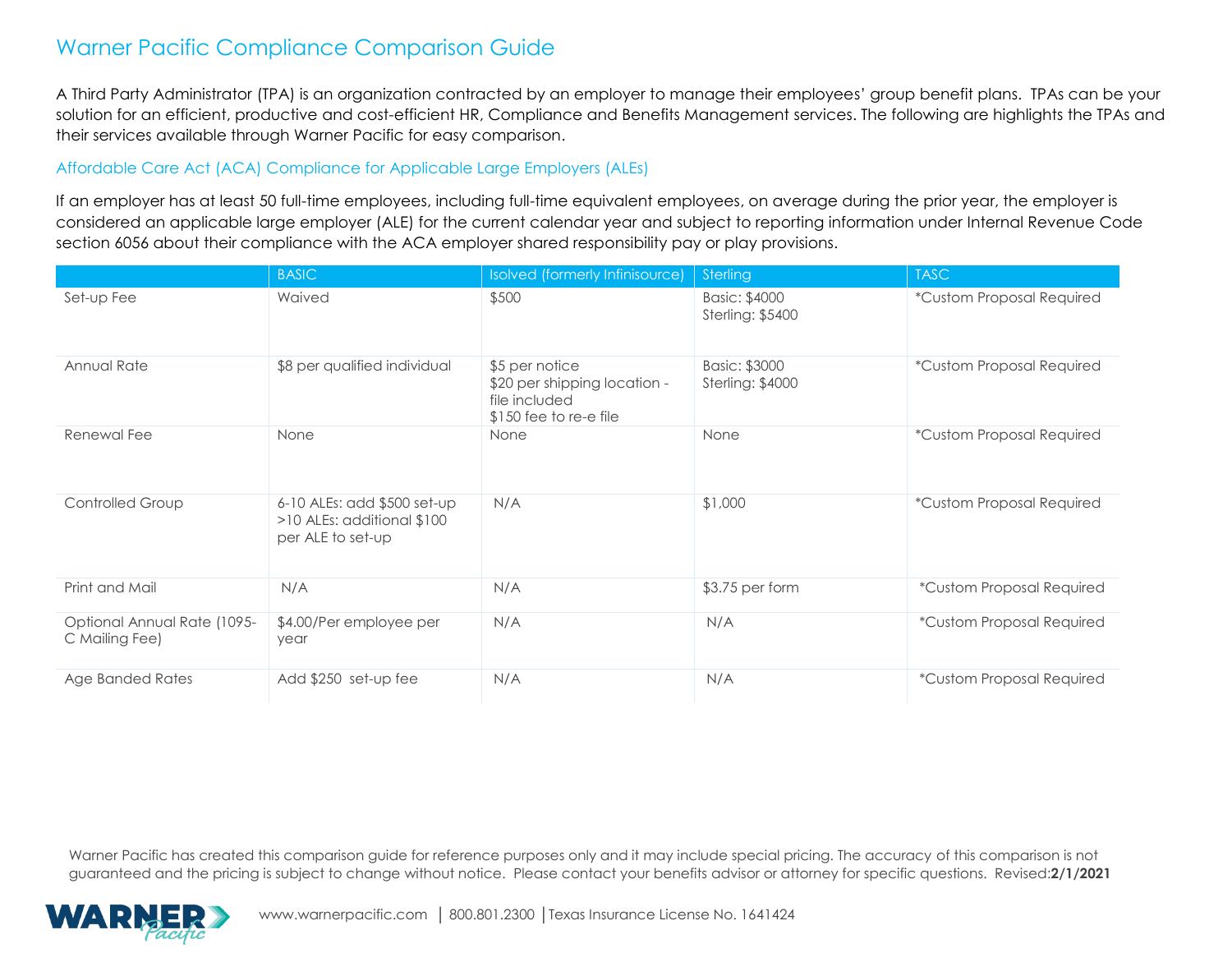A Third Party Administrator (TPA) is an organization contracted by an employer to manage their employees' group benefit plans. TPAs can be your solution for an efficient, productive and cost-efficient HR, Compliance and Benefits Management services. The following are highlights the TPAs and their services available through Warner Pacific for easy comparison.

#### Affordable Care Act (ACA) Compliance for Applicable Large Employers (ALEs)

If an employer has at least 50 full-time employees, including full-time equivalent employees, on average during the prior year, the employer is considered an applicable large employer (ALE) for the current calendar year and subject to reporting information under Internal Revenue Code section 6056 about their compliance with the ACA employer shared responsibility pay or play provisions.

|                                               | <b>BASIC</b>                                                                      | Isolved (formerly Infinisource)                                                           | Sterling                          | <b>TASC</b>               |
|-----------------------------------------------|-----------------------------------------------------------------------------------|-------------------------------------------------------------------------------------------|-----------------------------------|---------------------------|
| Set-up Fee                                    | Waived                                                                            | \$500                                                                                     | Basic: \$4000<br>Sterling: \$5400 | *Custom Proposal Required |
| Annual Rate                                   | \$8 per qualified individual                                                      | \$5 per notice<br>\$20 per shipping location -<br>file included<br>\$150 fee to re-e file | Basic: \$3000<br>Sterling: \$4000 | *Custom Proposal Required |
| Renewal Fee                                   | None                                                                              | None                                                                                      | None                              | *Custom Proposal Required |
| Controlled Group                              | $6-10$ ALEs: add $$500$ set-up<br>>10 ALEs: additional \$100<br>per ALE to set-up | N/A                                                                                       | \$1,000                           | *Custom Proposal Required |
| Print and Mail                                | N/A                                                                               | N/A                                                                                       | \$3.75 per form                   | *Custom Proposal Required |
| Optional Annual Rate (1095-<br>C Mailing Fee) | \$4.00/Per employee per<br>year                                                   | N/A                                                                                       | N/A                               | *Custom Proposal Required |
| Age Banded Rates                              | Add \$250 set-up fee                                                              | N/A                                                                                       | N/A                               | *Custom Proposal Required |

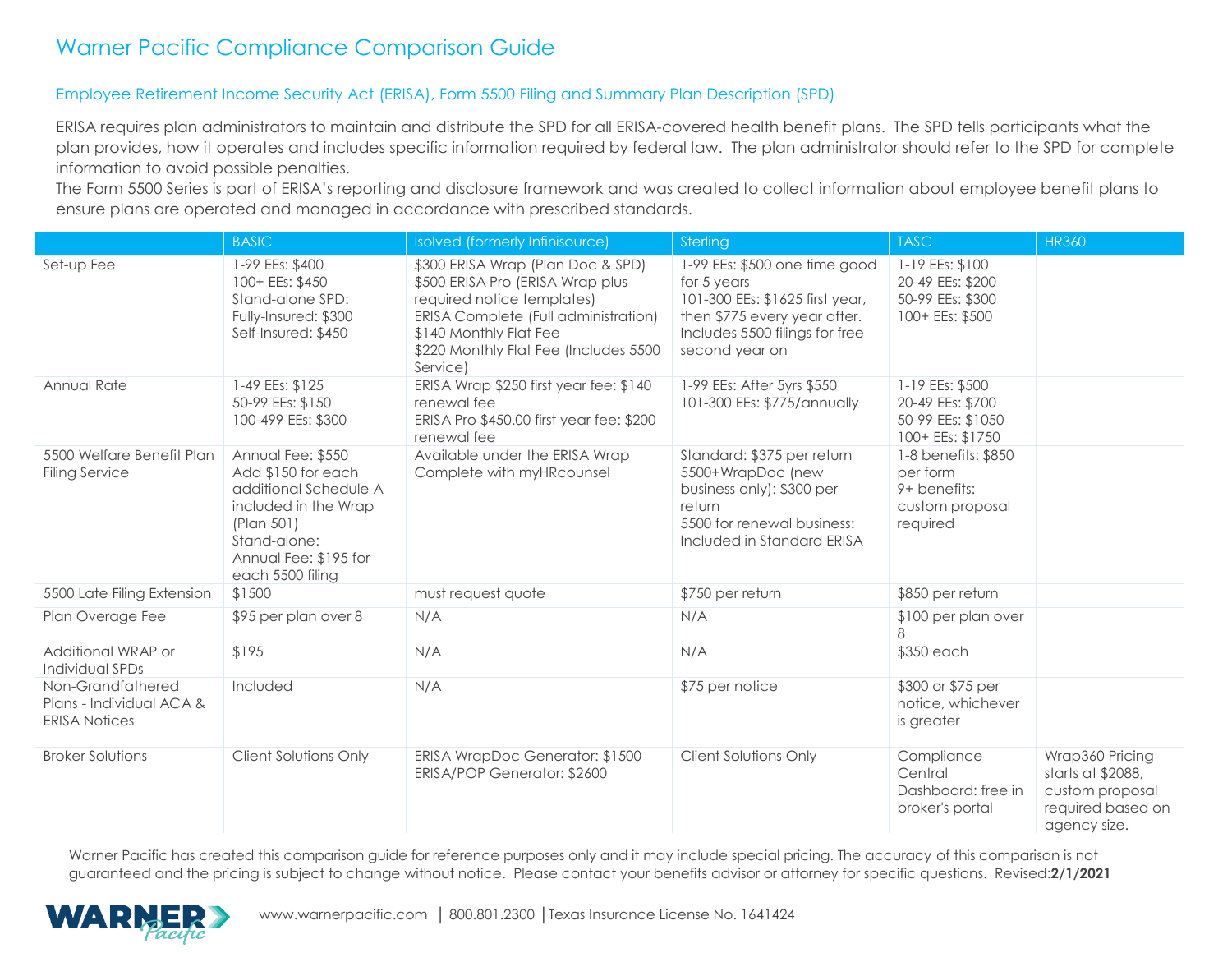#### Employee Retirement Income Security Act (ERISA), Form 5500 Filing and Summary Plan Description (SPD)

ERISA requires plan administrators to maintain and distribute the SPD for all ERISA-covered health benefit plans. The SPD tells participants what the plan provides, how it operates and includes specific information required by federal law. The plan administrator should refer to the SPD for complete information to avoid possible penalties.

The Form 5500 Series is part of ERISA's reporting and disclosure framework and was created to collect information about employee benefit plans to ensure plans are operated and managed in accordance with prescribed standards.

|                                                                       | <b>BASIC</b>                                                                                                                                                        | Isolved (formerly Infinisource)                                                                                                                                                                                            | Sterling                                                                                                                                                            | <b>TASC</b>                                                                    | <b>HR360</b>                                                                                 |
|-----------------------------------------------------------------------|---------------------------------------------------------------------------------------------------------------------------------------------------------------------|----------------------------------------------------------------------------------------------------------------------------------------------------------------------------------------------------------------------------|---------------------------------------------------------------------------------------------------------------------------------------------------------------------|--------------------------------------------------------------------------------|----------------------------------------------------------------------------------------------|
| Set-up Fee                                                            | 1-99 EEs: \$400<br>100+ EEs: \$450<br>Stand-alone SPD:<br>Fully-Insured: \$300<br>Self-Insured: \$450                                                               | \$300 ERISA Wrap (Plan Doc & SPD)<br>\$500 ERISA Pro (ERISA Wrap plus<br>required notice templates)<br>ERISA Complete (Full administration)<br>\$140 Monthly Flat Fee<br>\$220 Monthly Flat Fee (Includes 5500<br>Service) | 1-99 EEs: \$500 one time good<br>for 5 years<br>101-300 EEs: \$1625 first year,<br>then \$775 every year after.<br>Includes 5500 filings for free<br>second year on | 1-19 EEs: \$100<br>20-49 EEs: \$200<br>50-99 EEs: \$300<br>100+ EEs: \$500     |                                                                                              |
| Annual Rate                                                           | 1-49 EEs: \$125<br>50-99 EEs: \$150<br>100-499 EEs: \$300                                                                                                           | ERISA Wrap \$250 first year fee: \$140<br>renewal fee<br>ERISA Pro \$450.00 first year fee: \$200<br>renewal fee                                                                                                           | 1-99 EEs: After 5yrs \$550<br>101-300 EEs: \$775/annually                                                                                                           | 1-19 EEs: \$500<br>20-49 EEs: \$700<br>50-99 EEs: \$1050<br>100+ EEs: \$1750   |                                                                                              |
| 5500 Welfare Benefit Plan<br><b>Filing Service</b>                    | Annual Fee: \$550<br>Add \$150 for each<br>additional Schedule A<br>included in the Wrap<br>(Plan 501)<br>Stand-alone:<br>Annual Fee: \$195 for<br>each 5500 filing | Available under the ERISA Wrap<br>Complete with myHRcounsel                                                                                                                                                                | Standard: \$375 per return<br>5500+WrapDoc (new<br>business only): \$300 per<br>return<br>5500 for renewal business:<br>Included in Standard ERISA                  | 1-8 benefits: \$850<br>per form<br>9+ benefits:<br>custom proposal<br>required |                                                                                              |
| 5500 Late Filing Extension                                            | \$1500                                                                                                                                                              | must request quote                                                                                                                                                                                                         | \$750 per return                                                                                                                                                    | \$850 per return                                                               |                                                                                              |
| Plan Overage Fee                                                      | \$95 per plan over 8                                                                                                                                                | N/A                                                                                                                                                                                                                        | N/A                                                                                                                                                                 | \$100 per plan over<br>8                                                       |                                                                                              |
| Additional WRAP or<br>Individual SPDs                                 | \$195                                                                                                                                                               | N/A                                                                                                                                                                                                                        | N/A                                                                                                                                                                 | \$350 each                                                                     |                                                                                              |
| Non-Grandfathered<br>Plans - Individual ACA &<br><b>ERISA Notices</b> | Included                                                                                                                                                            | N/A                                                                                                                                                                                                                        | \$75 per notice                                                                                                                                                     | \$300 or \$75 per<br>notice, whichever<br>is greater                           |                                                                                              |
| <b>Broker Solutions</b>                                               | Client Solutions Only                                                                                                                                               | ERISA WrapDoc Generator: \$1500<br>ERISA/POP Generator: \$2600                                                                                                                                                             | Client Solutions Only                                                                                                                                               | Compliance<br>Central<br>Dashboard: free in<br>broker's portal                 | Wrap360 Pricing<br>starts at \$2088,<br>custom proposal<br>required based on<br>agency size. |

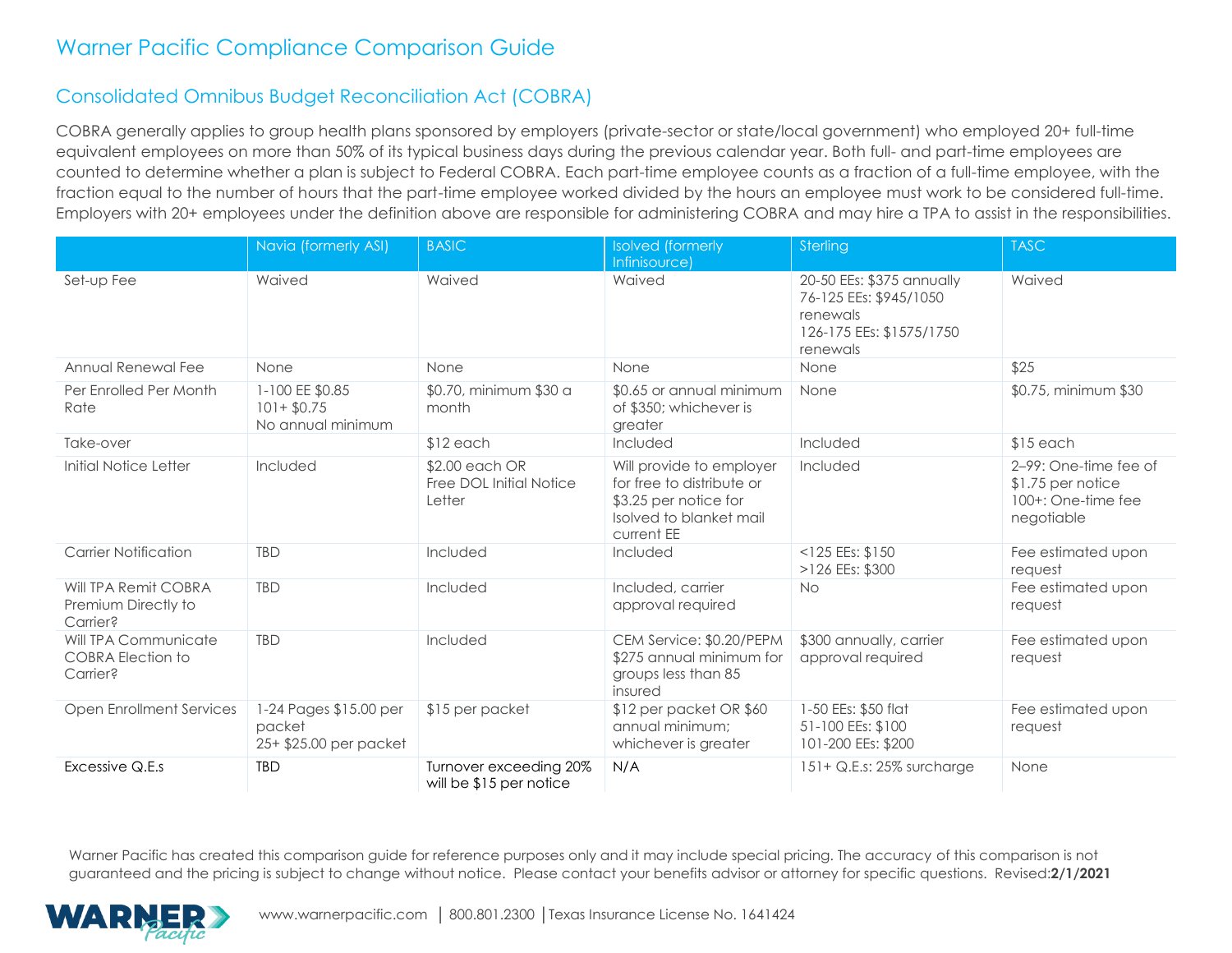### Consolidated Omnibus Budget Reconciliation Act (COBRA)

COBRA generally applies to group health plans sponsored by employers (private-sector or state/local government) who employed 20+ full-time equivalent employees on more than 50% of its typical business days during the previous calendar year. Both full- and part-time employees are counted to determine whether a plan is subject to Federal COBRA. Each part-time employee counts as a fraction of a full-time employee, with the fraction equal to the number of hours that the part-time employee worked divided by the hours an employee must work to be considered full-time. Employers with 20+ employees under the definition above are responsible for administering COBRA and may hire a TPA to assist in the responsibilities.

|                                                              | Navia (formerly ASI)                                       | <b>BASIC</b>                                        | <b>Isolved</b> (formerly                                                                                                | Sterling                                                                                                | <b>TASC</b>                                                                    |
|--------------------------------------------------------------|------------------------------------------------------------|-----------------------------------------------------|-------------------------------------------------------------------------------------------------------------------------|---------------------------------------------------------------------------------------------------------|--------------------------------------------------------------------------------|
|                                                              |                                                            |                                                     | Infinisource)                                                                                                           |                                                                                                         |                                                                                |
| Set-up Fee                                                   | Waived                                                     | Waived                                              | Waived                                                                                                                  | 20-50 EEs: \$375 annually<br>76-125 EEs: \$945/1050<br>renewals<br>126-175 EEs: \$1575/1750<br>renewals | Waived                                                                         |
| Annual Renewal Fee                                           | None                                                       | None                                                | None                                                                                                                    | None                                                                                                    | \$25                                                                           |
| Per Enrolled Per Month<br>Rate                               | 1-100 EE \$0.85<br>$101 + $0.75$<br>No annual minimum      | \$0.70, minimum \$30 a<br>month                     | \$0.65 or annual minimum<br>of \$350; whichever is<br>greater                                                           | None                                                                                                    | \$0.75, minimum \$30                                                           |
| Take-over                                                    |                                                            | $$12$ each                                          | Included                                                                                                                | Included                                                                                                | $$15$ each                                                                     |
| Initial Notice Letter                                        | Included                                                   | \$2.00 each OR<br>Free DOL Initial Notice<br>Letter | Will provide to employer<br>for free to distribute or<br>\$3.25 per notice for<br>Isolved to blanket mail<br>current EE | Included                                                                                                | 2-99: One-time fee of<br>\$1.75 per notice<br>100+: One-time fee<br>negotiable |
| <b>Carrier Notification</b>                                  | <b>TBD</b>                                                 | Included                                            | Included                                                                                                                | $<$ 125 EEs: \$150<br>>126 EEs: \$300                                                                   | Fee estimated upon<br>request                                                  |
| Will TPA Remit COBRA<br>Premium Directly to<br>Carrier?      | <b>TBD</b>                                                 | Included                                            | Included, carrier<br>approval required                                                                                  | <b>No</b>                                                                                               | Fee estimated upon<br>request                                                  |
| Will TPA Communicate<br><b>COBRA Election to</b><br>Carrier? | <b>TBD</b>                                                 | Included                                            | CEM Service: \$0.20/PEPM<br>\$275 annual minimum for<br>groups less than 85<br>insured                                  | \$300 annually, carrier<br>approval required                                                            | Fee estimated upon<br>request                                                  |
| <b>Open Enrollment Services</b>                              | 1-24 Pages \$15.00 per<br>packet<br>25+ \$25.00 per packet | \$15 per packet                                     | \$12 per packet OR \$60<br>annual minimum:<br>whichever is greater                                                      | 1-50 EEs: \$50 flat<br>51-100 EEs: \$100<br>101-200 EEs: \$200                                          | Fee estimated upon<br>request                                                  |
| Excessive Q.E.s                                              | <b>TBD</b>                                                 | Turnover exceeding 20%<br>will be \$15 per notice   | N/A                                                                                                                     | 151+ Q.E.s: 25% surcharge                                                                               | None                                                                           |

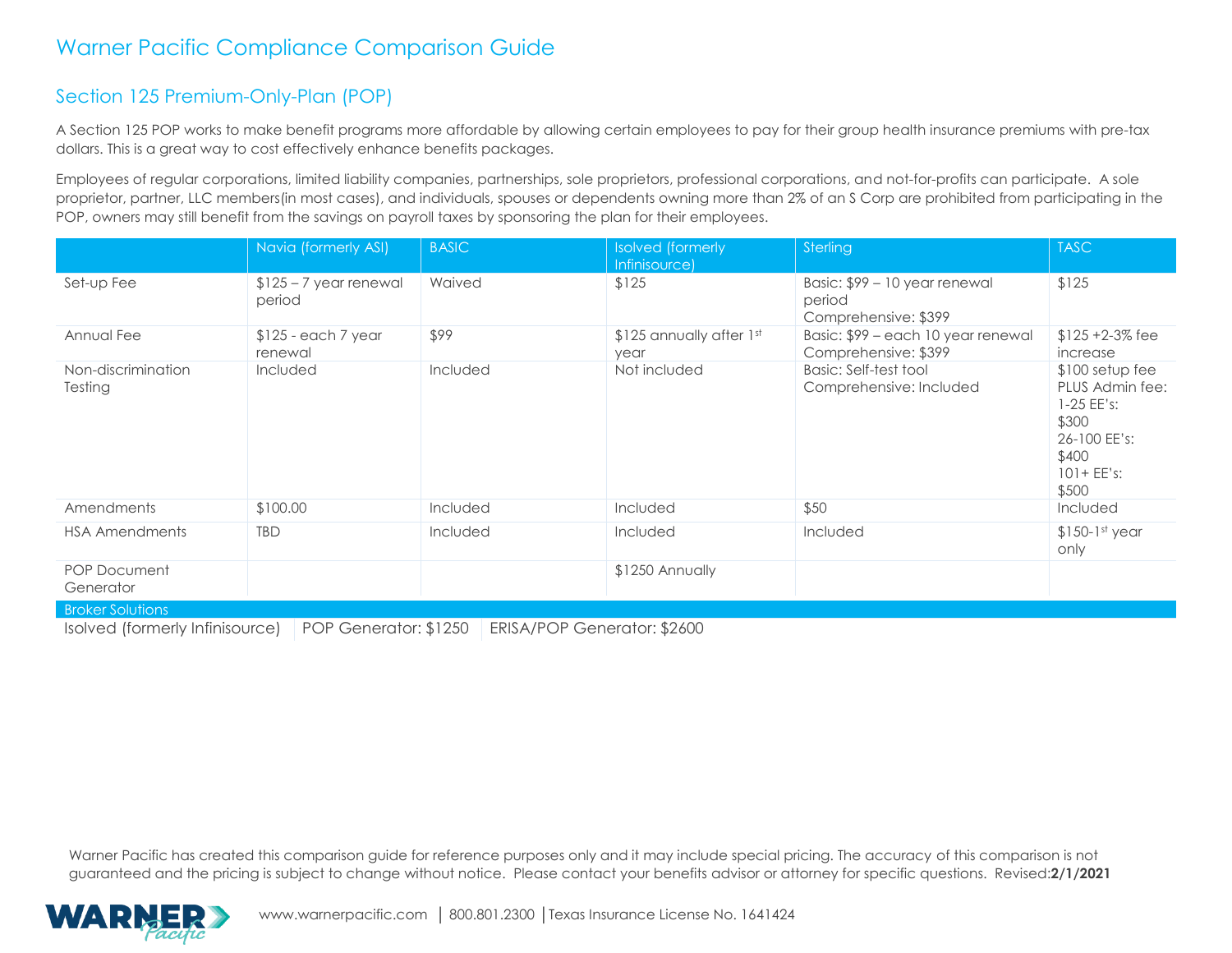### Section 125 Premium-Only-Plan (POP)

A Section 125 POP works to make benefit programs more affordable by allowing certain employees to pay for their group health insurance premiums with pre-tax dollars. This is a great way to cost effectively enhance benefits packages.

Employees of regular corporations, limited liability companies, partnerships, sole proprietors, professional corporations, and not-for-profits can participate. A sole proprietor, partner, LLC members(in most cases), and individuals, spouses or dependents owning more than 2% of an S Corp are prohibited from participating in the POP, owners may still benefit from the savings on payroll taxes by sponsoring the plan for their employees.

|                                  | Navia (formerly ASI)              | <b>BASIC</b> | <b>Isolved</b> (formerly<br>Infinisource) | Sterling                                                        | <b>TASC</b>                                                                                                     |
|----------------------------------|-----------------------------------|--------------|-------------------------------------------|-----------------------------------------------------------------|-----------------------------------------------------------------------------------------------------------------|
| Set-up Fee                       | $$125 - 7$ year renewal<br>period | Waived       | \$125                                     | Basic: \$99 - 10 year renewal<br>period<br>Comprehensive: \$399 | \$125                                                                                                           |
| Annual Fee                       | $$125$ - each 7 year<br>renewal   | \$99         | \$125 annually after 1st<br>year          | Basic: \$99 – each 10 year renewal<br>Comprehensive: \$399      | $$125 + 2-3\%$ fee<br>increase                                                                                  |
| Non-discrimination<br>Testing    | <b>Included</b>                   | Included     | Not included                              | Basic: Self-test tool<br>Comprehensive: Included                | $$100$ setup fee<br>PLUS Admin fee:<br>$1-25$ EE's:<br>\$300<br>26-100 EE's:<br>\$400<br>$101 + EE's:$<br>\$500 |
| Amendments                       | \$100.00                          | Included     | Included                                  | \$50                                                            | Included                                                                                                        |
| <b>HSA Amendments</b>            | <b>TBD</b>                        | Included     | <b>Included</b>                           | Included                                                        | $$150-1st$ year<br>only                                                                                         |
| <b>POP Document</b><br>Generator |                                   |              | \$1250 Annually                           |                                                                 |                                                                                                                 |
| <b>Broker Solutions</b>          |                                   |              |                                           |                                                                 |                                                                                                                 |

Isolved (formerly Infinisource) POP Generator: \$1250 ERISA/POP Generator: \$2600

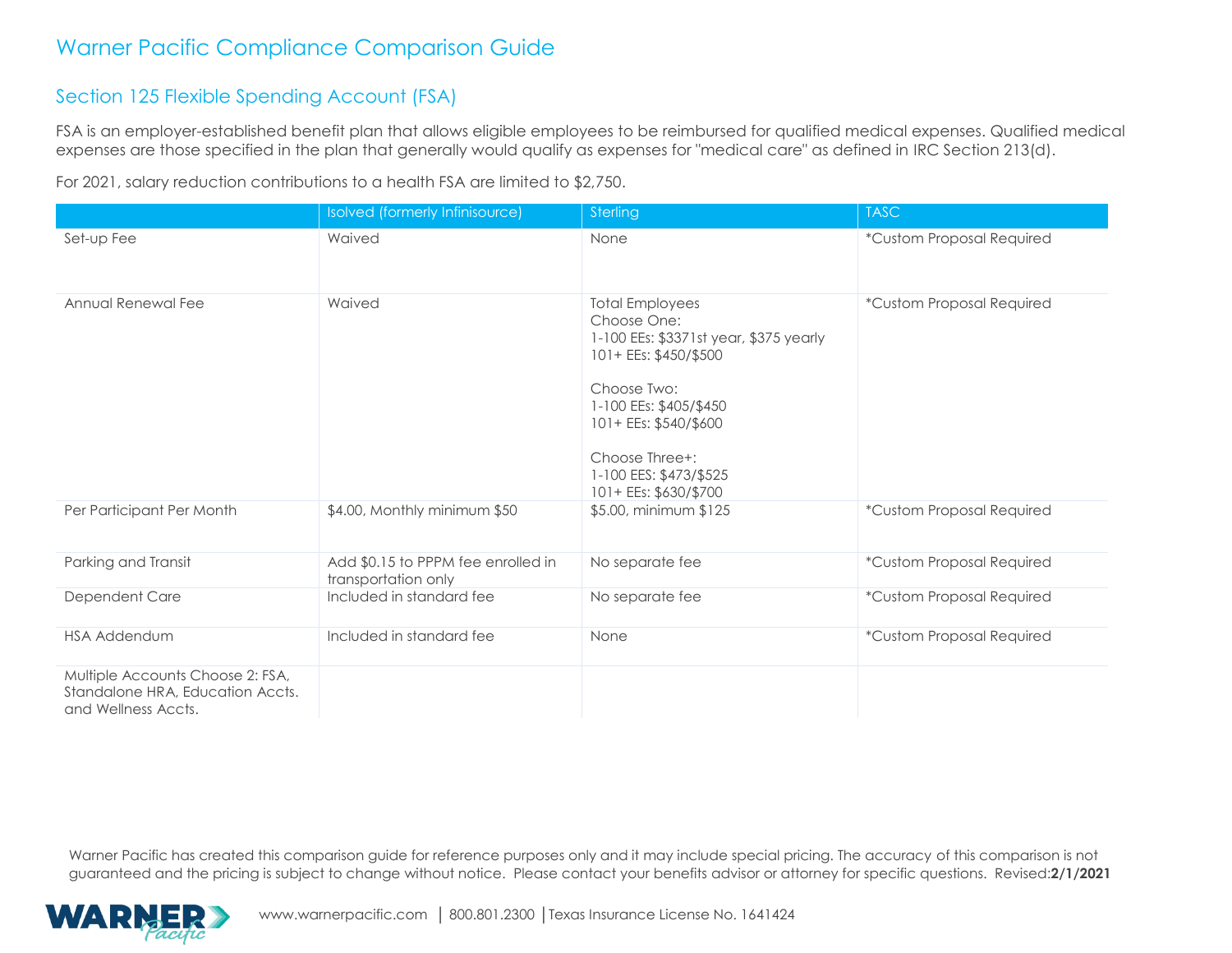### Section 125 Flexible Spending Account (FSA)

FSA is an employer-established benefit plan that allows eligible employees to be reimbursed for qualified medical expenses. Qualified medical expenses are those specified in the plan that generally would qualify as expenses for "medical care" as defined in IRC Section 213(d).

For 2021, salary reduction contributions to a health FSA are limited to \$2,750.

|                                                                                             | <b>Isolved</b> (formerly Infinisource)                    | Sterling                                                                                                                                                                                                                                        | <b>TASC</b>               |
|---------------------------------------------------------------------------------------------|-----------------------------------------------------------|-------------------------------------------------------------------------------------------------------------------------------------------------------------------------------------------------------------------------------------------------|---------------------------|
| Set-up Fee                                                                                  | Waived                                                    | None                                                                                                                                                                                                                                            | *Custom Proposal Required |
| Annual Renewal Fee                                                                          | Waived                                                    | <b>Total Employees</b><br>Choose One:<br>1-100 EEs: \$3371st year, \$375 yearly<br>101+ EEs: \$450/\$500<br>Choose Two:<br>1-100 EEs: \$405/\$450<br>101+ EEs: \$540/\$600<br>Choose Three+:<br>1-100 EES: \$473/\$525<br>101+ EEs: \$630/\$700 | *Custom Proposal Required |
| Per Participant Per Month                                                                   | \$4.00, Monthly minimum \$50                              | \$5.00, minimum \$125                                                                                                                                                                                                                           | *Custom Proposal Required |
| Parking and Transit                                                                         | Add \$0.15 to PPPM fee enrolled in<br>transportation only | No separate fee                                                                                                                                                                                                                                 | *Custom Proposal Required |
| Dependent Care                                                                              | Included in standard fee                                  | No separate fee                                                                                                                                                                                                                                 | *Custom Proposal Required |
| <b>HSA Addendum</b>                                                                         | Included in standard fee                                  | None                                                                                                                                                                                                                                            | *Custom Proposal Required |
| Multiple Accounts Choose 2: FSA,<br>Standalone HRA, Education Accts.<br>and Wellness Accts. |                                                           |                                                                                                                                                                                                                                                 |                           |

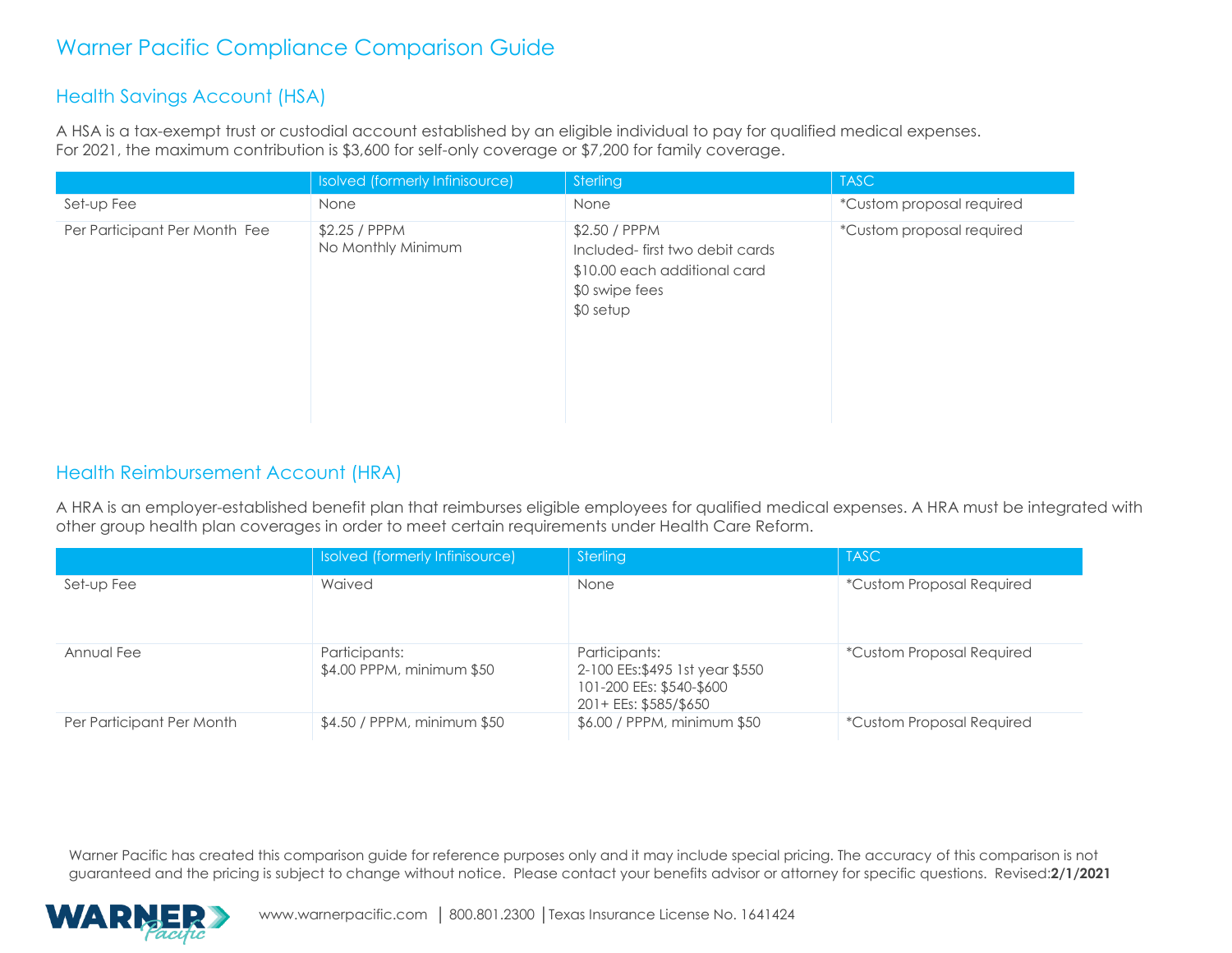#### Health Savings Account (HSA)

A HSA is a tax-exempt trust or custodial account established by an eligible individual to pay for qualified medical expenses. For 2021, the maximum contribution is \$3,600 for self-only coverage or \$7,200 for family coverage.

|                               | Isolved (formerly Infinisource)     | Sterling                                                                                                       | <b>TASC</b>               |
|-------------------------------|-------------------------------------|----------------------------------------------------------------------------------------------------------------|---------------------------|
| Set-up Fee                    | None                                | None                                                                                                           | *Custom proposal required |
| Per Participant Per Month Fee | \$2.25 / PPPM<br>No Monthly Minimum | \$2.50 / PPPM<br>Included-first two debit cards<br>\$10.00 each additional card<br>\$0 swipe fees<br>\$0 setup | *Custom proposal required |

#### Health Reimbursement Account (HRA)

A HRA is an employer-established benefit plan that reimburses eligible employees for qualified medical expenses. A HRA must be integrated with other group health plan coverages in order to meet certain requirements under Health Care Reform.

|                           | Isolved (formerly Infinisource)            | Sterling                                                                                              | <b>TASC</b>                      |
|---------------------------|--------------------------------------------|-------------------------------------------------------------------------------------------------------|----------------------------------|
| Set-up Fee                | Waived                                     | None                                                                                                  | <i>*Custom Proposal Required</i> |
| Annual Fee                | Participants:<br>\$4.00 PPPM, minimum \$50 | Participants:<br>2-100 EEs: \$495 1st year \$550<br>101-200 EEs: \$540-\$600<br>201+ EEs: \$585/\$650 | <i>*Custom Proposal Required</i> |
| Per Participant Per Month | \$4.50 / PPPM, minimum \$50                | \$6.00 / PPPM, minimum \$50                                                                           | <i>*Custom Proposal Required</i> |

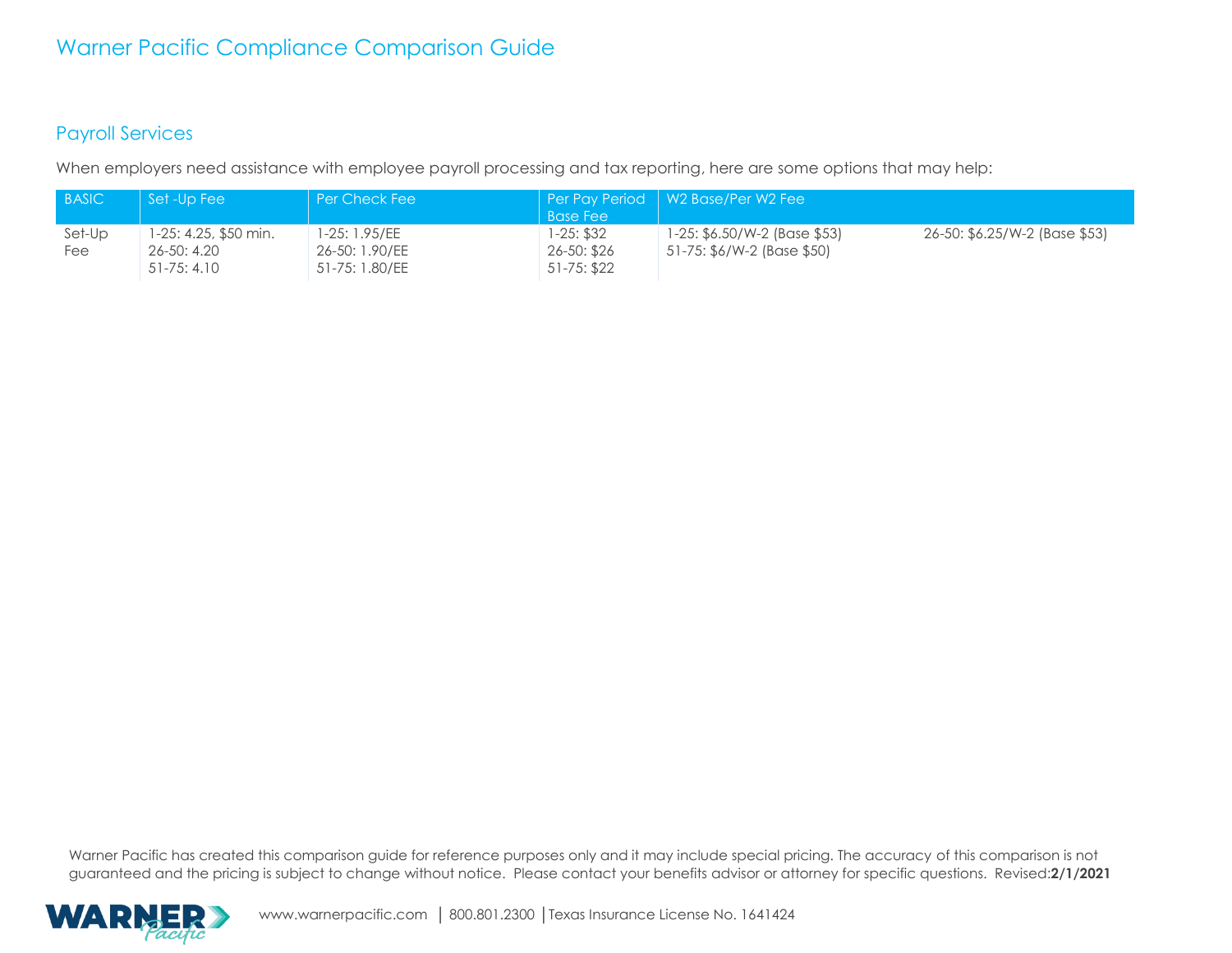#### Payroll Services

When employers need assistance with employee payroll processing and tax reporting, here are some options that may help:

| <b>BASIC</b>  | Set -Up Fee                                                  | l Per Check Fee                                   |                                          | Per Pay Period   W2 Base/Per W2 Fee                        |                               |
|---------------|--------------------------------------------------------------|---------------------------------------------------|------------------------------------------|------------------------------------------------------------|-------------------------------|
|               |                                                              |                                                   | <b>Base Fee</b>                          |                                                            |                               |
| Set-Up<br>Fee | 1-25: 4.25, \$50 min.<br>$26 - 50$ : 4.20<br>$51 - 75: 4.10$ | I-25: 1.95/EE<br>26-50: 1.90/EE<br>51-75: 1.80/EE | 1-25: \$32<br>26-50: \$26<br>51-75: \$22 | 1-25: \$6.50/W-2 (Base \$53)<br>51-75: \$6/W-2 (Base \$50) | 26-50: \$6.25/W-2 (Base \$53) |

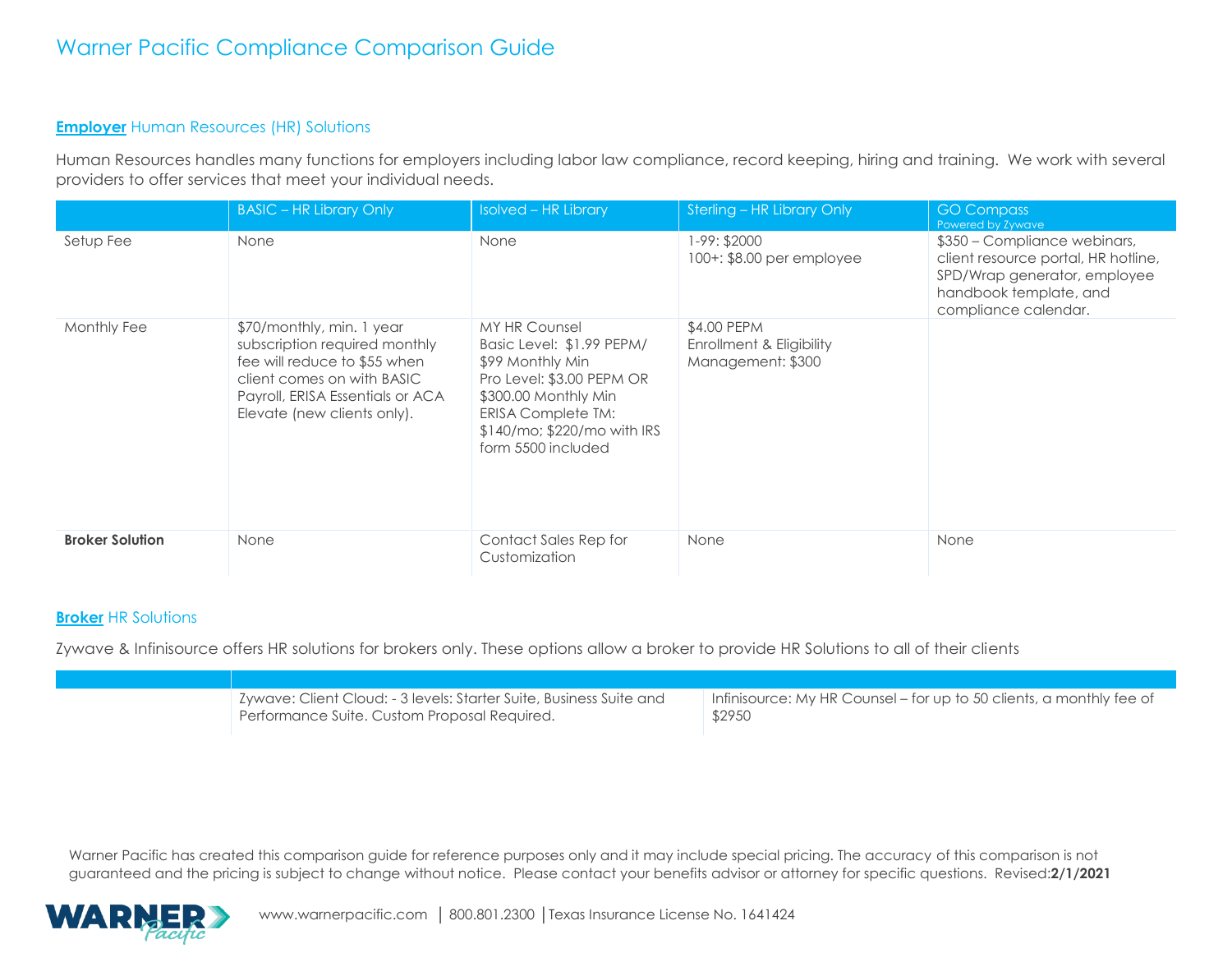#### **Employer** Human Resources (HR) Solutions

Human Resources handles many functions for employers including labor law compliance, record keeping, hiring and training. We work with several providers to offer services that meet your individual needs.

|                        | <b>BASIC - HR Library Only</b>                                                                                                                                                              | <b>Isolved - HR Library</b>                                                                                                                                                                       | Sterling - HR Library Only                                   | <b>GO Compass</b><br>Powered by Zywave                                                                                                                |
|------------------------|---------------------------------------------------------------------------------------------------------------------------------------------------------------------------------------------|---------------------------------------------------------------------------------------------------------------------------------------------------------------------------------------------------|--------------------------------------------------------------|-------------------------------------------------------------------------------------------------------------------------------------------------------|
| Setup Fee              | None                                                                                                                                                                                        | None                                                                                                                                                                                              | 1-99: \$2000<br>100+: \$8.00 per employee                    | \$350 – Compliance webinars,<br>client resource portal, HR hotline,<br>SPD/Wrap generator, employee<br>handbook template, and<br>compliance calendar. |
| Monthly Fee            | \$70/monthly, min. 1 year<br>subscription required monthly<br>fee will reduce to \$55 when<br>client comes on with BASIC<br>Payroll, ERISA Essentials or ACA<br>Elevate (new clients only). | MY HR Counsel<br>Basic Level: \$1.99 PEPM/<br>\$99 Monthly Min<br>Pro Level: \$3.00 PEPM OR<br>\$300.00 Monthly Min<br>ERISA Complete TM:<br>$$140/mo$ ; $$220/mo$ with IRS<br>form 5500 included | \$4.00 PEPM<br>Enrollment & Eligibility<br>Management: \$300 |                                                                                                                                                       |
| <b>Broker Solution</b> | None                                                                                                                                                                                        | Contact Sales Rep for<br>Customization                                                                                                                                                            | None                                                         | None                                                                                                                                                  |

#### **Broker** HR Solutions

Zywave & Infinisource offers HR solutions for brokers only. These options allow a broker to provide HR Solutions to all of their clients

| Zywave: Client Cloud: - 3 levels: Starter Suite, Business Suite and | Infinisource: My HR Counsel – for up to 50 clients, a monthly fee of |
|---------------------------------------------------------------------|----------------------------------------------------------------------|
| Performance Suite. Custom Proposal Required.                        | \$2950                                                               |